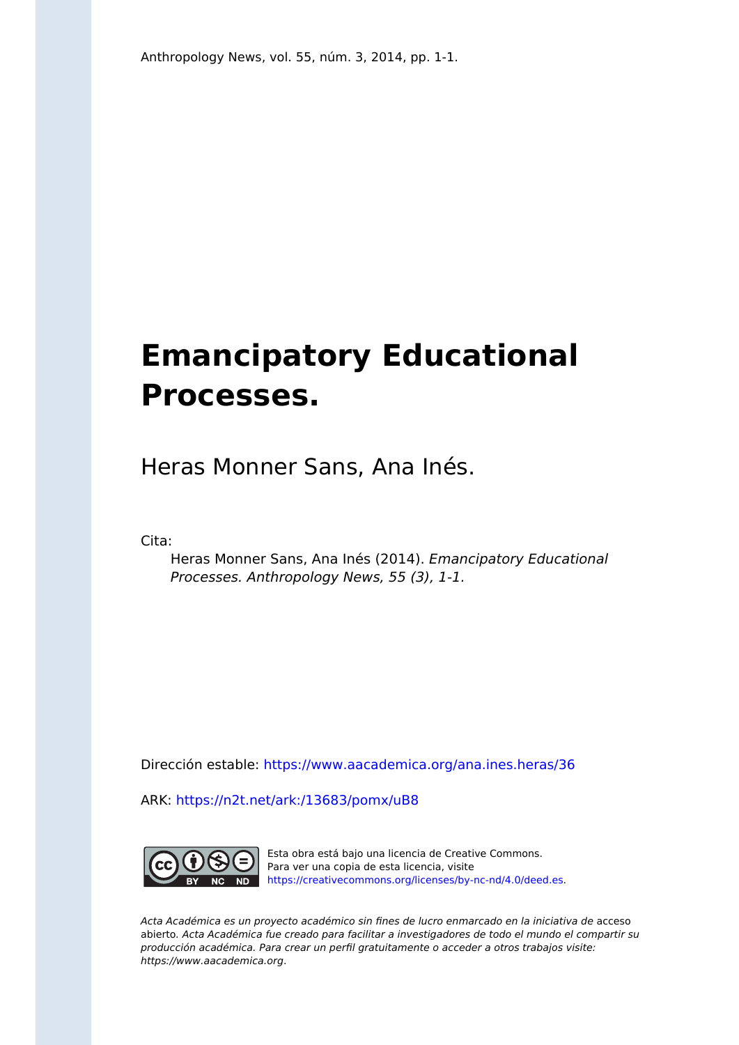## **Emancipatory Educational Processes.**

Heras Monner Sans, Ana Inés.

Cita:

Heras Monner Sans, Ana Inés (2014). Emancipatory Educational Processes. Anthropology News, 55 (3), 1-1.

Dirección estable:<https://www.aacademica.org/ana.ines.heras/36>

ARK: <https://n2t.net/ark:/13683/pomx/uB8>



Esta obra está bajo una licencia de Creative Commons. Para ver una copia de esta licencia, visite [https://creativecommons.org/licenses/by-nc-nd/4.0/deed.es.](https://creativecommons.org/licenses/by-nc-nd/4.0/deed.es)

Acta Académica es un proyecto académico sin fines de lucro enmarcado en la iniciativa de acceso abierto. Acta Académica fue creado para facilitar a investigadores de todo el mundo el compartir su producción académica. Para crear un perfil gratuitamente o acceder a otros trabajos visite: https://www.aacademica.org.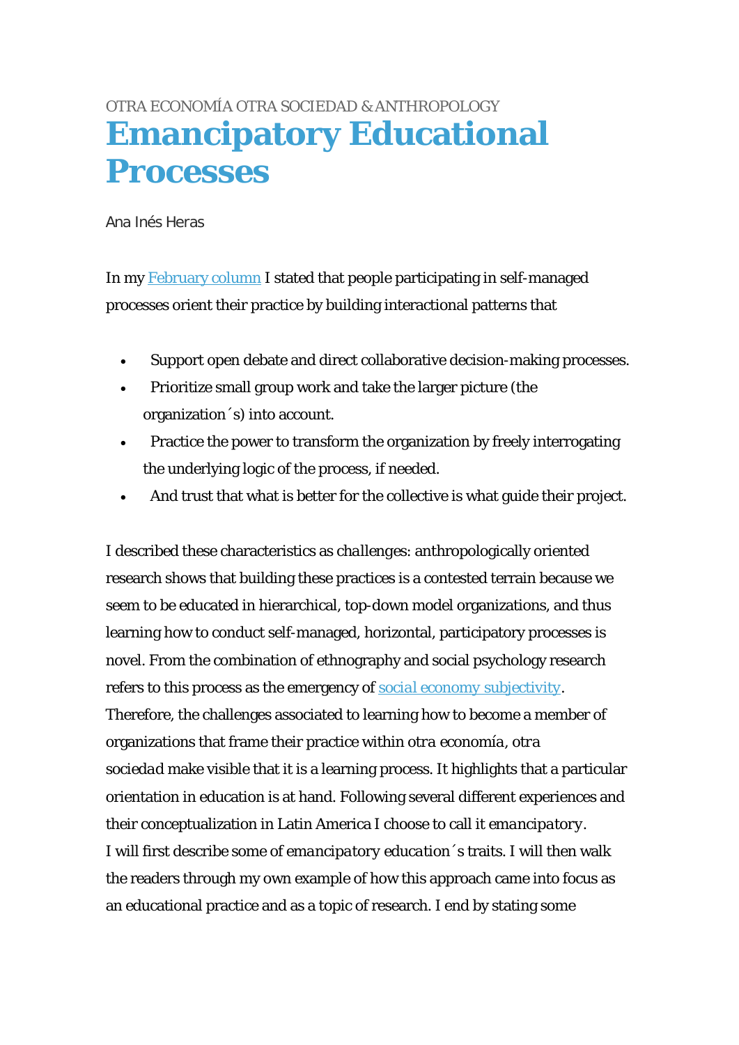## [OTRA ECONOMÍA OTRA SOCIEDAD & ANTHROPOLOGY](http://www.anthropology-news.org/index.php/tag/otra-economia-otra-sociedad-anthropology/) **[Emancipatory Educational](http://www.anthropology-news.org/index.php/2014/03/28/emancipatory-educational-processes/)  [Processes](http://www.anthropology-news.org/index.php/2014/03/28/emancipatory-educational-processes/)**

Ana Inés Heras

In my [February column](http://www.anthropology-news.org/index.php/2014/02/19/ethnographic-understandings/) I stated that people participating in self-managed processes orient their practice by building interactional patterns that

- Support open debate and direct collaborative decision-making processes.
- Prioritize small group work and take the larger picture (the organization´s) into account.
- Practice the power to transform the organization by freely interrogating the underlying logic of the process, if needed.
- And trust that what is better for the collective is what guide their project.

I described these characteristics as *challenges*: anthropologically oriented research shows that building these practices is a contested terrain because we seem to be educated in hierarchical, top-down model organizations, and thus learning how to conduct self-managed, horizontal, participatory processes is novel. From the combination of ethnography and social psychology research refers to this process as the emergency of *[social economy subjectivity.](http://www.ungs.edu.ar/areas/publicaciones/220/economia-solidaria-y-subjetividad.html)* Therefore, the challenges associated to learning how to become a member of organizations that frame their practice within *otra economía, otra sociedad* make visible that it is a learning process. It highlights that a particular orientation in education is at hand. Following several different experiences and their conceptualization in Latin America I choose to call it *emancipatory.* I will first describe some of *emancipatory education*´s traits. I will then walk the readers through my own example of how this approach came into focus as an educational practice and as a topic of research. I end by stating some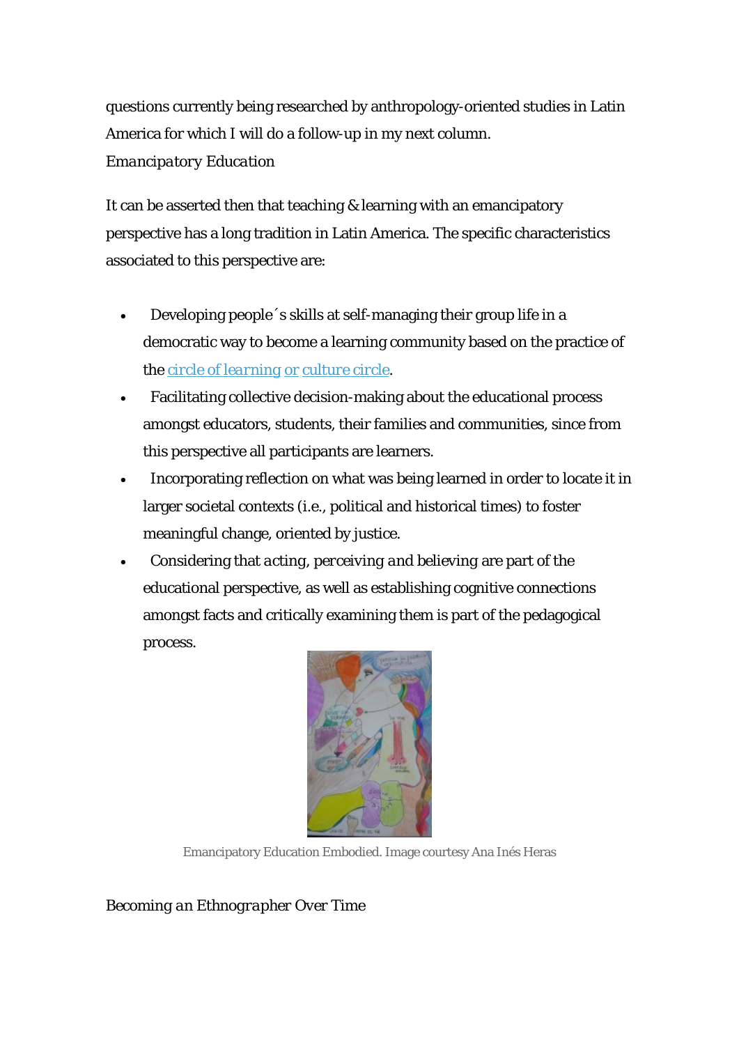questions currently being researched by anthropology-oriented studies in Latin America for which I will do a follow-up in my next column. *Emancipatory Education* 

It can be asserted then that teaching & learning with an emancipatory perspective has a long tradition in Latin America. The specific characteristics associated to this perspective are:

- Developing people´s skills at self-managing their group life in a democratic way to become a learning community based on the practice of the *[circle of learning](http://www.gaiandemocracy.net/GD_SITE_INGREDIENT_PAULO_FREIRE.html)* or *culture circle*.
- Facilitating collective decision-making about the educational process amongst educators, students, their families and communities, since from this perspective all participants are learners.
- Incorporating reflection on what was being learned in order to locate it in larger societal contexts (i.e., political and historical times) to foster meaningful change, oriented by justice.
- Considering that *acting, perceiving and believing* are part of the educational perspective, as well as establishing cognitive connections amongst facts and critically examining them is part of the pedagogical process.



Emancipatory Education Embodied. Image courtesy Ana Inés Heras

*Becoming an Ethnographer Over Time*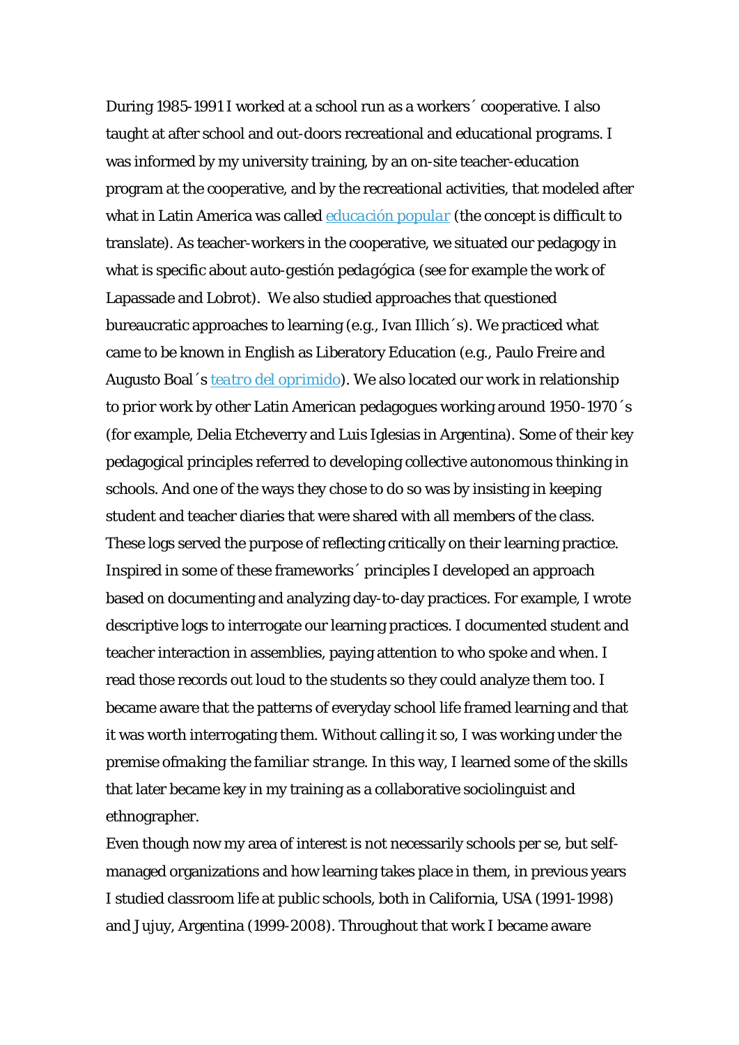During 1985-1991 I worked at a school run as a workers´ cooperative. I also taught at after school and out-doors recreational and educational programs. I was informed by my university training, by an on-site teacher-education program at the cooperative, and by the recreational activities, that modeled after what in Latin America was called *[educación popular](http://www.iiz-dvv.de/index.php?article_id=267&clang=1)* (the concept is difficult to translate). As teacher-workers in the cooperative, we situated our pedagogy in what is specific about *auto-gestión pedagógica* (see for example the work of Lapassade and Lobrot). We also studied approaches that questioned bureaucratic approaches to learning (e.g., Ivan Illich´s). We practiced what came to be known in English as Liberatory Education (e.g., Paulo Freire and Augusto Boal´s *[teatro del oprimido](http://www.theatreoftheoppressed.org/en/index.php?nodeID=3)*). We also located our work in relationship to prior work by other Latin American pedagogues working around 1950-1970´s (for example, Delia Etcheverry and Luis Iglesias in Argentina). Some of their key pedagogical principles referred to developing collective autonomous thinking in schools. And one of the ways they chose to do so was by insisting in keeping student and teacher diaries that were shared with all members of the class. These logs served the purpose of reflecting critically on their learning practice. Inspired in some of these frameworks´ principles I developed an approach based on documenting and analyzing day-to-day practices. For example, I wrote descriptive logs to interrogate our learning practices. I documented student and teacher interaction in assemblies, paying attention to who spoke and when. I read those records out loud to the students so they could analyze them too. I became aware that the patterns of everyday school life framed learning and that it was worth interrogating them. Without calling it so, I was working under the premise of*making the familiar strange.* In this way, I learned some of the skills that later became key in my training as a collaborative sociolinguist and ethnographer.

Even though now my area of interest is not necessarily schools per se, but selfmanaged organizations and how learning takes place in them, in previous years I studied classroom life at public schools, both in California, USA (1991-1998) and Jujuy, Argentina (1999-2008). Throughout that work I became aware